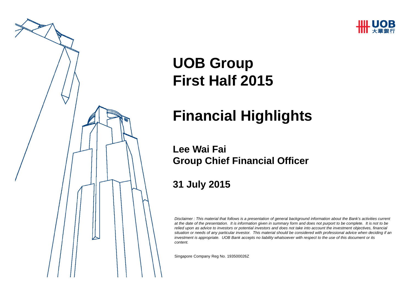



# **UOB Group First Half 2015**

# **Financial Highlights**

### **Lee Wai FaiGroup Chief Financial Officer**

### **31 July 2015**

*Disclaimer : This material that follows is a presentation of general background information about the Bank's activities current at the date of the presentation. It is information given in summary form and does not purport to be complete. It is not to be relied upon as advice to investors or potential investors and does not take into account the investment objectives, financial situation or needs of any particular investor. This material should be considered with professional advice when deciding if an investment is appropriate. UOB Bank accepts no liability whatsoever with respect to the use of this document or its content.*

Singapore Company Reg No. 193500026 Z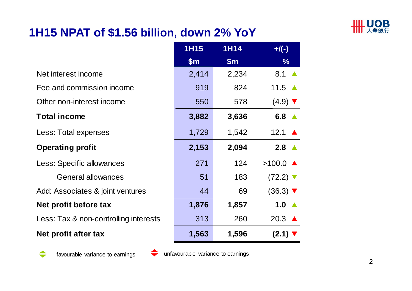

## **1H15 NPAT of \$1.56 billion, down 2% YoY**

|                                       | <b>1H15</b>   | <b>1H14</b>   | $+$ /(-)                      |
|---------------------------------------|---------------|---------------|-------------------------------|
|                                       | $\mathsf{Sm}$ | $\mathsf{Sm}$ | $\%$                          |
| Net interest income                   | 2,414         | 2,234         | 8.1                           |
| Fee and commission income             | 919           | 824           | 11.5 $\triangle$              |
| Other non-interest income             | 550           | 578           | $(4.9)$ $\blacktriangledown$  |
| <b>Total income</b>                   | 3,882         | 3,636         | 6.8 $\triangle$               |
| Less: Total expenses                  | 1,729         | 1,542         | 12.1 $\triangle$              |
| <b>Operating profit</b>               | 2,153         | 2,094         | $2.8 \triangle$               |
| Less: Specific allowances             | 271           | 124           | $>100.0$ $\triangle$          |
| General allowances                    | 51            | 183           | $(72.2)$ $\blacktriangledown$ |
| Add: Associates & joint ventures      | 44            | 69            | $(36.3)$ $\blacktriangledown$ |
| Net profit before tax                 | 1,876         | 1,857         | 1.0 $\triangle$               |
| Less: Tax & non-controlling interests | 313           | 260           | 20.3 $\triangle$              |
| Net profit after tax                  | 1,563         | 1,596         | $(2.1)$ $\blacktriangledown$  |



favourable variance to earnings unfavourable variance to earnings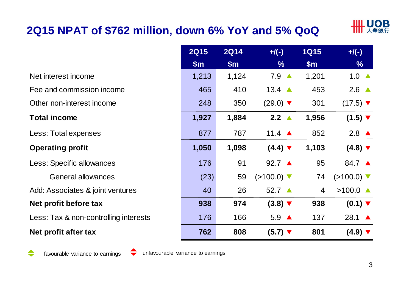# **2Q15 NPAT of \$762 million, down 6% YoY and 5% QoQ**



|                                       | <b>2Q15</b> | <b>2Q14</b> | $+/(-)$                       | <b>1Q15</b>    | $+/(-)$                         |
|---------------------------------------|-------------|-------------|-------------------------------|----------------|---------------------------------|
|                                       | \$m\$       | \$m\$       | $\frac{9}{6}$                 | \$m\$          | $\frac{9}{6}$                   |
| Net interest income                   | 1,213       | 1,124       | $7.9 \triangle$               | 1,201          | 1.0 $\triangle$                 |
| Fee and commission income             | 465         | 410         | 13.4 $\triangle$              | 453            | 2.6 $\triangle$                 |
| Other non-interest income             | 248         | 350         | $(29.0)$ $\blacktriangledown$ | 301            | $(17.5)$ $\blacktriangledown$   |
| <b>Total income</b>                   | 1,927       | 1,884       | $2.2 \triangle$               | 1,956          | $(1.5)$ $\blacktriangledown$    |
| Less: Total expenses                  | 877         | 787         | 11.4 $\triangle$              | 852            | 2.8 $\triangle$                 |
| <b>Operating profit</b>               | 1,050       | 1,098       | $(4.4)$ $\blacktriangledown$  | 1,103          | $(4.8)$ $\blacktriangledown$    |
| Less: Specific allowances             | 176         | 91          | 92.7 ▲                        | 95             | 84.7 ▲                          |
| <b>General allowances</b>             | (23)        | 59          | $(>100.0)$ ▼                  | 74             | $(>100.0)$ $\blacktriangledown$ |
| Add: Associates & joint ventures      | 40          | 26          | $52.7 \triangle$              | $\overline{4}$ | $>100.0$ $\triangle$            |
| Net profit before tax                 | 938         | 974         | $(3.8)$ $\blacktriangledown$  | 938            | $(0.1)$ $\blacktriangledown$    |
| Less: Tax & non-controlling interests | 176         | 166         | $5.9 \triangle$               | 137            | 28.1 $\triangle$                |
| Net profit after tax                  | 762         | 808         | $(5.7)$ $\blacktriangledown$  | 801            | $(4.9)$ $\blacktriangledown$    |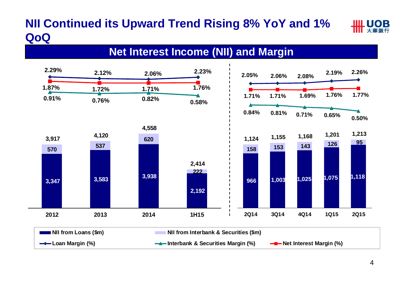# **NII Continued its Upward Trend Rising 8% YoY and 1% QoQ**



### **Net Interest Income (NII) and Margin**

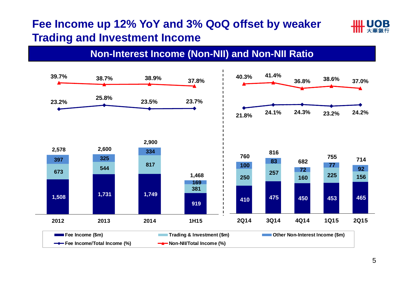### **Fee Income up 12% YoY and 3% QoQ offset by weaker Trading and Investment Income**



### **Non-Interest Income (Non-NII) and Non-NII Ratio**

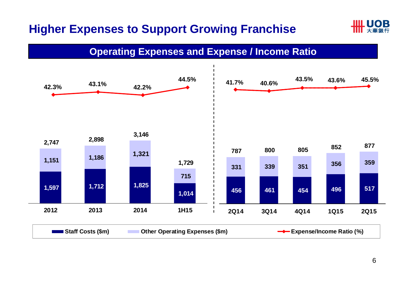# **Higher Expenses to Support Growing Franchise**



#### **Operating Expenses and Expense / Income Ratio**

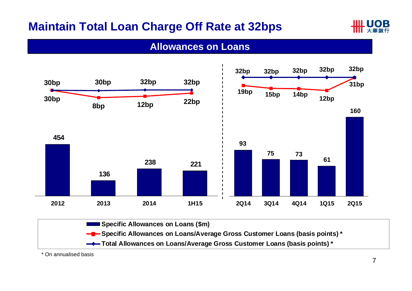# **Maintain Total Loan Charge Off Rate at 32bps**



#### **Allowances on Loans**



**Total Allowances on Loans/Average Gross Customer Loans (basis points) \***

\* On annualised basis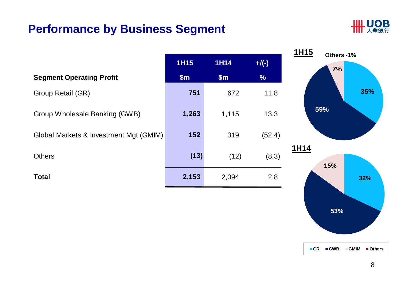### **Performance by Business Segment**



|                                        |             |             |               | 1H15<br>Others-1% |
|----------------------------------------|-------------|-------------|---------------|-------------------|
|                                        | <b>1H15</b> | <b>1H14</b> | $+$ /(-)      | 7%                |
| <b>Segment Operating Profit</b>        | \$m\$       | \$m\$       | $\frac{9}{6}$ |                   |
| Group Retail (GR)                      | 751         | 672         | 11.8          | 35%               |
| Group Wholesale Banking (GWB)          | 1,263       | 1,115       | 13.3          | 59%               |
| Global Markets & Investment Mgt (GMIM) | 152         | 319         | (52.4)        |                   |
| <b>Others</b>                          | (13)        | (12)        | (8.3)         | 1H14<br>15%       |
| <b>Total</b>                           | 2,153       | 2,094       | 2.8           | 32%               |

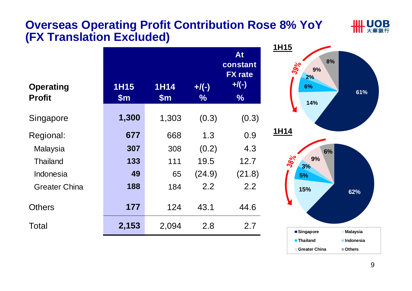### **Overseas Operating Profit Contribution Rose 8% YoY (FX Translation Excluded)**

**IIIL UOB** 

| <b>1H15</b><br>\$m\$ | <b>1H14</b><br>\$m\$ | $+$ /(-)<br>$\%$ | At<br>constant<br><b>FX</b> rate<br>$+$ /(-)<br>$\frac{0}{6}$ |  |
|----------------------|----------------------|------------------|---------------------------------------------------------------|--|
| 1,300                | 1,303                | (0.3)            | (0.3)                                                         |  |
| 677                  | 668                  | 1.3              | 0.9                                                           |  |
| 307                  | 308                  | (0.2)            | 4.3                                                           |  |
| 133                  | 111                  | 19.5             | 12.7                                                          |  |
| 49                   | 65                   | (24.9)           | (21.8)                                                        |  |
| 188                  | 184                  | 2.2              | 2.2                                                           |  |
| 177                  | 124                  | 43.1             | 44.6                                                          |  |
| 2,153                | 2,094                | 2.8              | 2.7                                                           |  |
|                      |                      |                  |                                                               |  |

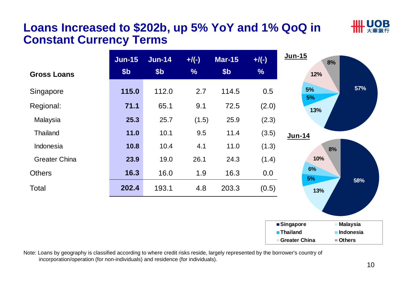### **Loans Increased to \$202b, up 5% YoY and 1% QoQ in Constant Currency Terms**

| <b>Gross Loans</b>   | $J$ un-15<br>\$ <sub>b</sub> | <b>Jun-14</b><br>\$ <sub>b</sub> | $+/(-)$<br>$\frac{9}{6}$ | <b>Mar-15</b><br>\$ <sub>b</sub> | $+$ /(-)<br>$\frac{9}{6}$ | Jun-15<br>8%<br>12%                                                                                    |
|----------------------|------------------------------|----------------------------------|--------------------------|----------------------------------|---------------------------|--------------------------------------------------------------------------------------------------------|
| Singapore            | 115.0                        | 112.0                            | 2.7                      | 114.5                            | 0.5                       | 57%<br>5%<br>5%                                                                                        |
| Regional:            | 71.1                         | 65.1                             | 9.1                      | 72.5                             | (2.0)                     | 13%                                                                                                    |
| Malaysia             | 25.3                         | 25.7                             | (1.5)                    | 25.9                             | (2.3)                     |                                                                                                        |
| <b>Thailand</b>      | 11.0                         | 10.1                             | 9.5                      | 11.4                             | (3.5)                     | Jun-14                                                                                                 |
| Indonesia            | 10.8                         | 10.4                             | 4.1                      | 11.0                             | (1.3)                     | 8%                                                                                                     |
| <b>Greater China</b> | 23.9                         | 19.0                             | 26.1                     | 24.3                             | (1.4)                     | 10%                                                                                                    |
| <b>Others</b>        | 16.3                         | 16.0                             | 1.9                      | 16.3                             | 0.0                       | 6%<br>5%                                                                                               |
| Total                | 202.4                        | 193.1                            | 4.8                      | 203.3                            | (0.5)                     | 58%<br>13%                                                                                             |
|                      |                              |                                  |                          |                                  |                           |                                                                                                        |
|                      |                              |                                  |                          |                                  |                           | ■Singapore<br><b>Malaysia</b><br><b>Thailand</b><br><b>Indonesia</b><br><b>Greater China</b><br>Others |

Note: Loans by geography is classified according to where credit risks reside, largely represented by the borrower's country of incorporation/operation (for non-individuals) and residence (for individuals).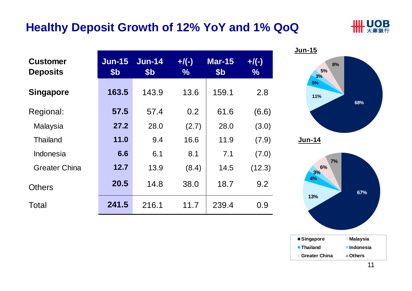### **Healthy Deposit Growth of 12% YoY and 1% QoQ**



|                                    |                             |                                  |                 |                                  |                           | <b>Jun-15</b>  |
|------------------------------------|-----------------------------|----------------------------------|-----------------|----------------------------------|---------------------------|----------------|
| <b>Customer</b><br><b>Deposits</b> | $Jun-15$<br>\$ <sub>b</sub> | <b>Jun-14</b><br>\$ <sub>b</sub> | $+/(-)$<br>$\%$ | <b>Mar-15</b><br>\$ <sub>b</sub> | $+$ /(-)<br>$\frac{9}{6}$ | 8%<br>5%<br>3% |
| <b>Singapore</b>                   | 163.5                       | 143.9                            | 13.6            | 159.1                            | 2.8                       | 5%<br>11%      |
| Regional:                          | 57.5                        | 57.4                             | 0.2             | 61.6                             | (6.6)                     |                |
| Malaysia                           | 27.2                        | 28.0                             | (2.7)           | 28.0                             | (3.0)                     |                |
| <b>Thailand</b>                    | 11.0                        | 9.4                              | 16.6            | 11.9                             | (7.9)                     | <b>Jun-14</b>  |
| Indonesia                          | 6.6                         | 6.1                              | 8.1             | 7.1                              | (7.0)                     |                |
| <b>Greater China</b>               | 12.7                        | 13.9                             | (8.4)           | 14.5                             | (12.3)                    | 7%<br>6%<br>3% |
| <b>Others</b>                      | 20.5                        | 14.8                             | 38.0            | 18.7                             | 9.2                       | 4%             |
| Total                              | 241.5                       | 216.1                            | 11.7            | 239.4                            | 0.9                       | 13%            |



**Indonesia**

**67%**

**68%**

**Singapore Malaysia**

**Thailand**

**Greater China**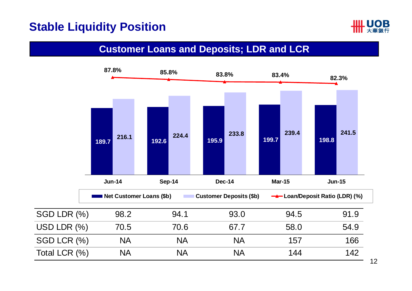### **Stable Liquidity Position**



#### **Customer Loans and Deposits; LDR and LCR**

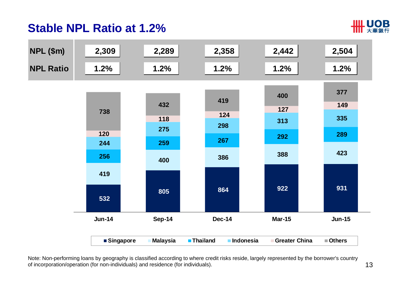# **Stable NPL Ratio at 1.2%**





Note: Non-performing loans by geography is classified according to where credit risks reside, largely represented by the borrower's country of incorporation/operation (for non-individuals) and residence (for individuals).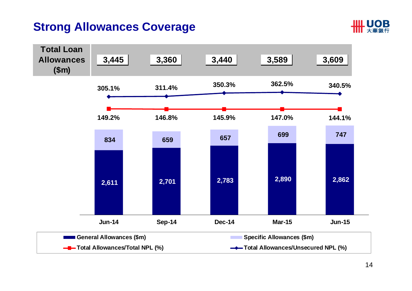### **Strong Allowances Coverage**



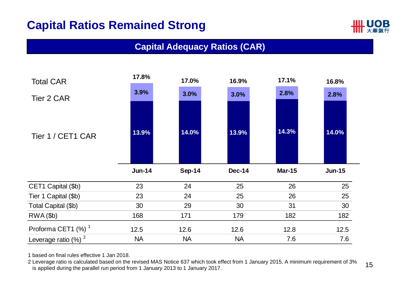## **Capital Ratios Remained Strong**



#### **Capital Adequacy Ratios (CAR)**



1 based on final rules effective 1 Jan 2018.

2 Leverage ratio is calculated based on the revised MAS Notice 637 which took effect from 1 January 2015. A minimum requirement of 3% is applied during the parallel run period from 1 January 2013 to 1 January 2017.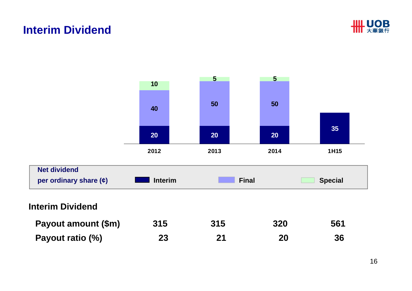### **Interim Dividend**



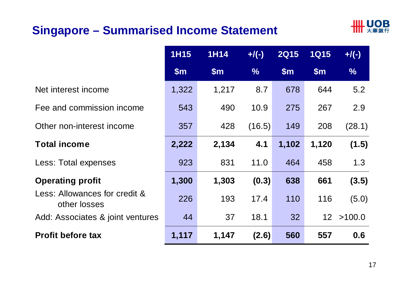# **Singapore – Summarised Income Statement**



|                                               | <b>1H15</b> | <b>1H14</b> | $+$ /(-)      | <b>2Q15</b>   | <b>1Q15</b>     | $+$ /(-)      |
|-----------------------------------------------|-------------|-------------|---------------|---------------|-----------------|---------------|
|                                               | \$m\$       | \$m\$       | $\frac{9}{6}$ | $\mathsf{Sm}$ | \$m\$           | $\frac{9}{6}$ |
| Net interest income                           | 1,322       | 1,217       | 8.7           | 678           | 644             | 5.2           |
| Fee and commission income                     | 543         | 490         | 10.9          | 275           | 267             | 2.9           |
| Other non-interest income                     | 357         | 428         | (16.5)        | 149           | 208             | (28.1)        |
| <b>Total income</b>                           | 2,222       | 2,134       | 4.1           | 1,102         | 1,120           | (1.5)         |
| Less: Total expenses                          | 923         | 831         | 11.0          | 464           | 458             | 1.3           |
| <b>Operating profit</b>                       | 1,300       | 1,303       | (0.3)         | 638           | 661             | (3.5)         |
| Less: Allowances for credit &<br>other losses | 226         | 193         | 17.4          | 110           | 116             | (5.0)         |
| Add: Associates & joint ventures              | 44          | 37          | 18.1          | 32            | 12 <sup>°</sup> | >100.0        |
| <b>Profit before tax</b>                      | 1,117       | 1,147       | (2.6)         | 560           | 557             | 0.6           |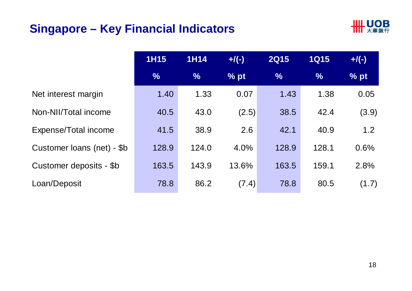# **Singapore – Key Financial Indicators**



|                            | <b>1H15</b>   | <b>1H14</b>   | $+/(-)$ | <b>2Q15</b>   | <b>1Q15</b>   | $+$ /(-) |
|----------------------------|---------------|---------------|---------|---------------|---------------|----------|
|                            | $\frac{0}{0}$ | $\frac{0}{0}$ | % pt    | $\frac{9}{6}$ | $\frac{9}{6}$ | % pt     |
| Net interest margin        | 1.40          | 1.33          | 0.07    | 1.43          | 1.38          | 0.05     |
| Non-NII/Total income       | 40.5          | 43.0          | (2.5)   | 38.5          | 42.4          | (3.9)    |
| Expense/Total income       | 41.5          | 38.9          | 2.6     | 42.1          | 40.9          | 1.2      |
| Customer loans (net) - \$b | 128.9         | 124.0         | 4.0%    | 128.9         | 128.1         | 0.6%     |
| Customer deposits - \$b    | 163.5         | 143.9         | 13.6%   | 163.5         | 159.1         | 2.8%     |
| Loan/Deposit               | 78.8          | 86.2          | (7.4)   | 78.8          | 80.5          | (1.7)    |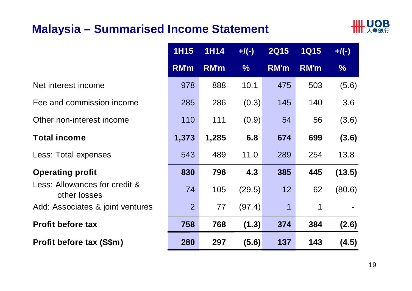### **Malaysia – Summarised Income Statement**



|                                               | <b>1H15</b>    | 1H14        | $+/(-)$       | <b>2Q15</b> | <b>1Q15</b> | $+$ /(-)      |
|-----------------------------------------------|----------------|-------------|---------------|-------------|-------------|---------------|
|                                               | <b>RM'm</b>    | <b>RM'm</b> | $\frac{9}{6}$ | <b>RM'm</b> | <b>RM'm</b> | $\frac{9}{6}$ |
| Net interest income                           | 978            | 888         | 10.1          | 475         | 503         | (5.6)         |
| Fee and commission income                     | 285            | 286         | (0.3)         | 145         | 140         | 3.6           |
| Other non-interest income                     | 110            | 111         | (0.9)         | 54          | 56          | (3.6)         |
| <b>Total income</b>                           | 1,373          | 1,285       | 6.8           | 674         | 699         | (3.6)         |
| Less: Total expenses                          | 543            | 489         | 11.0          | 289         | 254         | 13.8          |
| <b>Operating profit</b>                       | 830            | 796         | 4.3           | 385         | 445         | (13.5)        |
| Less: Allowances for credit &<br>other losses | 74             | 105         | (29.5)        | 12          | 62          | (80.6)        |
| Add: Associates & joint ventures              | 2 <sup>1</sup> | 77          | (97.4)        | $\mathbf 1$ | 1           |               |
| <b>Profit before tax</b>                      | 758            | 768         | (1.3)         | 374         | 384         | (2.6)         |
| <b>Profit before tax (S\$m)</b>               | 280            | 297         | (5.6)         | 137         | 143         | (4.5)         |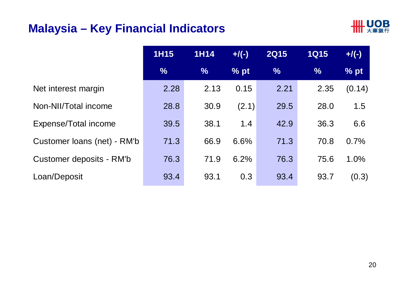### **Malaysia – Key Financial Indicators**



|                             | <b>1H15</b>   | <b>1H14</b>   | $+/(-)$ | <b>2Q15</b>   | <b>1Q15</b>   | $+$ /(-) |
|-----------------------------|---------------|---------------|---------|---------------|---------------|----------|
|                             | $\frac{0}{0}$ | $\frac{0}{0}$ | % pt    | $\frac{9}{6}$ | $\frac{9}{6}$ | % pt     |
| Net interest margin         | 2.28          | 2.13          | 0.15    | 2.21          | 2.35          | (0.14)   |
| Non-NII/Total income        | 28.8          | 30.9          | (2.1)   | 29.5          | 28.0          | 1.5      |
| Expense/Total income        | 39.5          | 38.1          | 1.4     | 42.9          | 36.3          | 6.6      |
| Customer Ioans (net) - RM'b | 71.3          | 66.9          | 6.6%    | 71.3          | 70.8          | 0.7%     |
| Customer deposits - RM'b    | 76.3          | 71.9          | 6.2%    | 76.3          | 75.6          | 1.0%     |
| Loan/Deposit                | 93.4          | 93.1          | 0.3     | 93.4          | 93.7          | (0.3)    |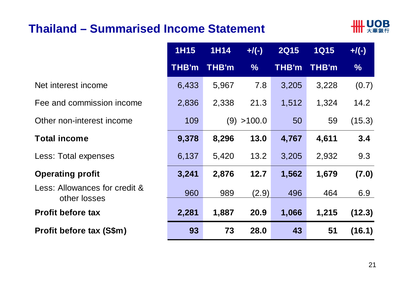### **Thailand – Summarised Income Statement**



|                                               | <b>1H15</b>  | <b>1H14</b>  | $+$ /(-)      | <b>2Q15</b>  | <b>1Q15</b> | $+$ /(-)      |
|-----------------------------------------------|--------------|--------------|---------------|--------------|-------------|---------------|
|                                               | <b>THB'm</b> | <b>THB'm</b> | $\frac{0}{0}$ | <b>THB'm</b> | THB'm       | $\frac{9}{6}$ |
| Net interest income                           | 6,433        | 5,967        | 7.8           | 3,205        | 3,228       | (0.7)         |
| Fee and commission income                     | 2,836        | 2,338        | 21.3          | 1,512        | 1,324       | 14.2          |
| Other non-interest income                     | 109          |              | (9) > 100.0   | 50           | 59          | (15.3)        |
| <b>Total income</b>                           | 9,378        | 8,296        | 13.0          | 4,767        | 4,611       | 3.4           |
| Less: Total expenses                          | 6,137        | 5,420        | 13.2          | 3,205        | 2,932       | 9.3           |
| <b>Operating profit</b>                       | 3,241        | 2,876        | 12.7          | 1,562        | 1,679       | (7.0)         |
| Less: Allowances for credit &<br>other losses | 960          | 989          | (2.9)         | 496          | 464         | 6.9           |
| <b>Profit before tax</b>                      | 2,281        | 1,887        | 20.9          | 1,066        | 1,215       | (12.3)        |
| Profit before tax (S\$m)                      | 93           | 73           | 28.0          | 43           | 51          | (16.1)        |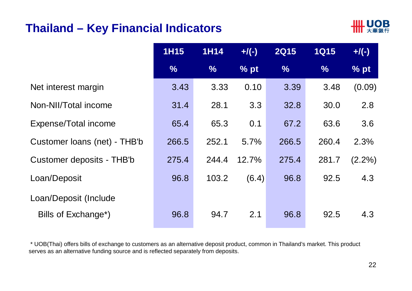### **Thailand – Key Financial Indicators**



| <b>1H15</b> | <b>1H14</b> | $+$ /(-) | <b>2Q15</b> | <b>1Q15</b>   | $+$ /(-)  |
|-------------|-------------|----------|-------------|---------------|-----------|
| $\%$        | $\%$        | $%$ pt   | $\%$        | $\frac{9}{6}$ | % pt      |
| 3.43        | 3.33        | 0.10     | 3.39        | 3.48          | (0.09)    |
| 31.4        | 28.1        | 3.3      | 32.8        | 30.0          | 2.8       |
| 65.4        | 65.3        | 0.1      | 67.2        | 63.6          | 3.6       |
| 266.5       | 252.1       | 5.7%     | 266.5       | 260.4         | 2.3%      |
| 275.4       | 244.4       | 12.7%    | 275.4       | 281.7         | $(2.2\%)$ |
| 96.8        | 103.2       | (6.4)    | 96.8        | 92.5          | 4.3       |
|             |             |          |             |               |           |
| 96.8        | 94.7        | 2.1      | 96.8        | 92.5          | 4.3       |
|             |             |          |             |               |           |

\* UOB(Thai) offers bills of exchange to customers as an alternative deposit product, common in Thailand's market. This product serves as an alternative funding source and is reflected separately from deposits.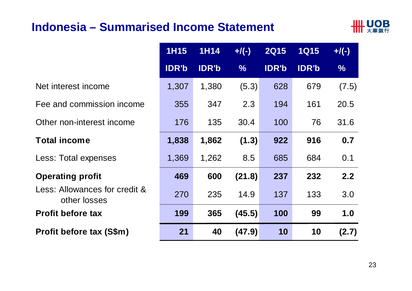### **Indonesia – Summarised Income Statement**



|                                               | <b>1H15</b>  | <b>1H14</b>  | $+/(-)$       | <b>2Q15</b>  | <b>1Q15</b>  | $+$ /(-)      |
|-----------------------------------------------|--------------|--------------|---------------|--------------|--------------|---------------|
|                                               | <b>IDR'b</b> | <b>IDR'b</b> | $\frac{0}{0}$ | <b>IDR'b</b> | <b>IDR'b</b> | $\frac{9}{6}$ |
| Net interest income                           | 1,307        | 1,380        | (5.3)         | 628          | 679          | (7.5)         |
| Fee and commission income                     | 355          | 347          | 2.3           | 194          | 161          | 20.5          |
| Other non-interest income                     | 176          | 135          | 30.4          | 100          | 76           | 31.6          |
| <b>Total income</b>                           | 1,838        | 1,862        | (1.3)         | 922          | 916          | 0.7           |
| Less: Total expenses                          | 1,369        | 1,262        | 8.5           | 685          | 684          | 0.1           |
| <b>Operating profit</b>                       | 469          | 600          | (21.8)        | 237          | 232          | 2.2           |
| Less: Allowances for credit &<br>other losses | 270          | 235          | 14.9          | 137          | 133          | 3.0           |
| <b>Profit before tax</b>                      | 199          | 365          | (45.5)        | 100          | 99           | 1.0           |
| Profit before tax (S\$m)                      | 21           | 40           | (47.9)        | 10           | 10           | (2.7)         |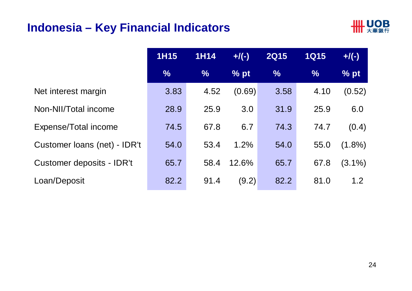### **Indonesia – Key Financial Indicators**



|                              | <b>1H15</b>   | <b>1H14</b>   | $+$ /(-) | <b>2Q15</b>   | <b>1Q15</b>   | $+$ /(-)  |
|------------------------------|---------------|---------------|----------|---------------|---------------|-----------|
|                              | $\frac{9}{6}$ | $\frac{0}{6}$ | % pt     | $\frac{0}{6}$ | $\frac{9}{6}$ | % pt      |
| Net interest margin          | 3.83          | 4.52          | (0.69)   | 3.58          | 4.10          | (0.52)    |
| Non-NII/Total income         | 28.9          | 25.9          | 3.0      | 31.9          | 25.9          | 6.0       |
| Expense/Total income         | 74.5          | 67.8          | 6.7      | 74.3          | 74.7          | (0.4)     |
| Customer Ioans (net) - IDR't | 54.0          | 53.4          | 1.2%     | 54.0          | 55.0          | $(1.8\%)$ |
| Customer deposits - IDR't    | 65.7          | 58.4          | 12.6%    | 65.7          | 67.8          | $(3.1\%)$ |
| Loan/Deposit                 | 82.2          | 91.4          | (9.2)    | 82.2          | 81.0          | 1.2       |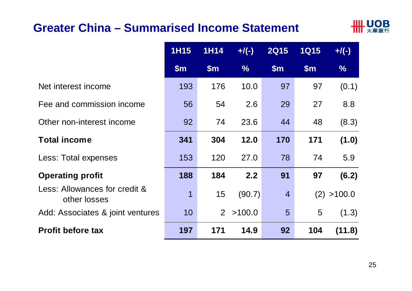### **Greater China – Summarised Income Statement**



|                                               | <b>1H15</b>    | 1H <sub>14</sub> | $+/(-)$       | <b>2Q15</b>     | <b>1Q15</b> | $+/(-)$       |
|-----------------------------------------------|----------------|------------------|---------------|-----------------|-------------|---------------|
|                                               | $\mathsf{Sm}$  | $\mathsf{Sm}$    | $\frac{9}{6}$ | $\mathsf{Sm}$   | \$m\$       | $\frac{9}{6}$ |
| Net interest income                           | 193            | 176              | 10.0          | 97              | 97          | (0.1)         |
| Fee and commission income                     | 56             | 54               | 2.6           | 29              | 27          | 8.8           |
| Other non-interest income                     | 92             | 74               | 23.6          | 44              | 48          | (8.3)         |
| <b>Total income</b>                           | 341            | 304              | 12.0          | 170             | 171         | (1.0)         |
| Less: Total expenses                          | 153            | 120              | 27.0          | 78              | 74          | 5.9           |
| <b>Operating profit</b>                       | 188            | 184              | 2.2           | 91              | 97          | (6.2)         |
| Less: Allowances for credit &<br>other losses | $\overline{1}$ | 15               | (90.7)        | $\overline{4}$  |             | (2) > 100.0   |
| Add: Associates & joint ventures              | 10             | $\overline{2}$   | >100.0        | $5\overline{)}$ | 5           | (1.3)         |
| <b>Profit before tax</b>                      | 197            | 171              | 14.9          | 92              | 104         | (11.8)        |